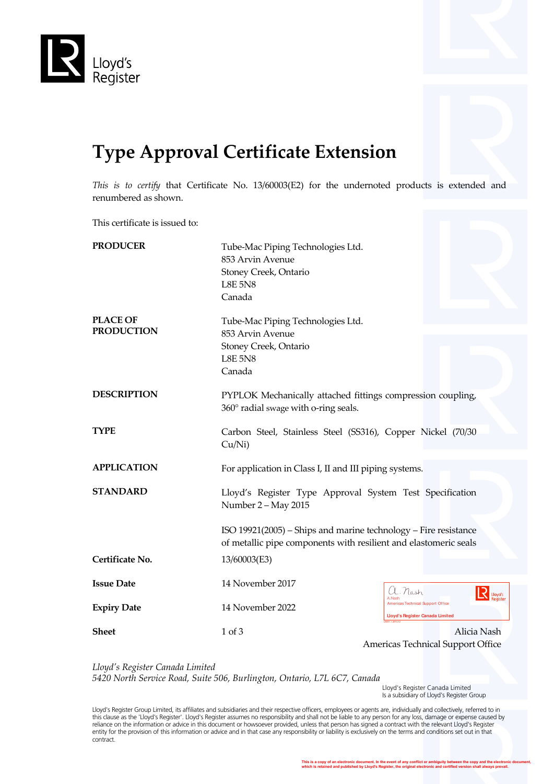

## **Type Approval Certificate Extension**

*This is to certify* that Certificate No. 13/60003(E2) for the undernoted products is extended and renumbered as shown.

This certificate is issued to:

| <b>PRODUCER</b>                      | Tube-Mac Piping Technologies Ltd.<br>853 Arvin Avenue<br>Stoney Creek, Ontario<br><b>L8E 5N8</b><br>Canada                          |                                                                                                         |
|--------------------------------------|-------------------------------------------------------------------------------------------------------------------------------------|---------------------------------------------------------------------------------------------------------|
| <b>PLACE OF</b><br><b>PRODUCTION</b> | Tube-Mac Piping Technologies Ltd.<br>853 Arvin Avenue<br>Stoney Creek, Ontario<br><b>L8E 5N8</b><br>Canada                          |                                                                                                         |
| <b>DESCRIPTION</b>                   | PYPLOK Mechanically attached fittings compression coupling,<br>360° radial swage with o-ring seals.                                 |                                                                                                         |
| <b>TYPE</b>                          | Carbon Steel, Stainless Steel (SS316), Copper Nickel (70/30<br>Cu/Ni)                                                               |                                                                                                         |
| <b>APPLICATION</b>                   | For application in Class I, II and III piping systems.                                                                              |                                                                                                         |
| <b>STANDARD</b>                      | Lloyd's Register Type Approval System Test Specification<br>Number 2 - May 2015                                                     |                                                                                                         |
|                                      | ISO 19921(2005) – Ships and marine technology – Fire resistance<br>of metallic pipe components with resilient and elastomeric seals |                                                                                                         |
| Certificate No.                      | 13/60003(E3)                                                                                                                        |                                                                                                         |
| <b>Issue Date</b>                    | 14 November 2017                                                                                                                    | $\lambda$ . Nash<br>Lloyd's                                                                             |
| <b>Expiry Date</b>                   | 14 November 2022                                                                                                                    | A Nash<br>Americas Technical Support Office<br><b>Lloyd's Register Canada Limited</b><br>(31.1, 2013.1) |
| <b>Sheet</b>                         | 1 of 3                                                                                                                              | Alicia Nash<br>Americas Technical Support Office                                                        |

*Lloyd's Register Canada Limited 5420 North Service Road, Suite 506, Burlington, Ontario, L7L 6C7, Canada*

 Lloyd's Register Canada Limited Is a subsidiary of Lloyd's Register Group

Lloyd's Register Group Limited, its affiliates and subsidiaries and their respective officers, employees or agents are, individually and collectively, referred to in this clause as the 'Lloyd's Register'. Lloyd's Register assumes no responsibility and shall not be liable to any person for any loss, damage or expense caused by<br>reliance on the information or advice in this document or ho entity for the provision of this information or advice and in that case any responsibility or liability is exclusively on the terms and conditions set out in that contract.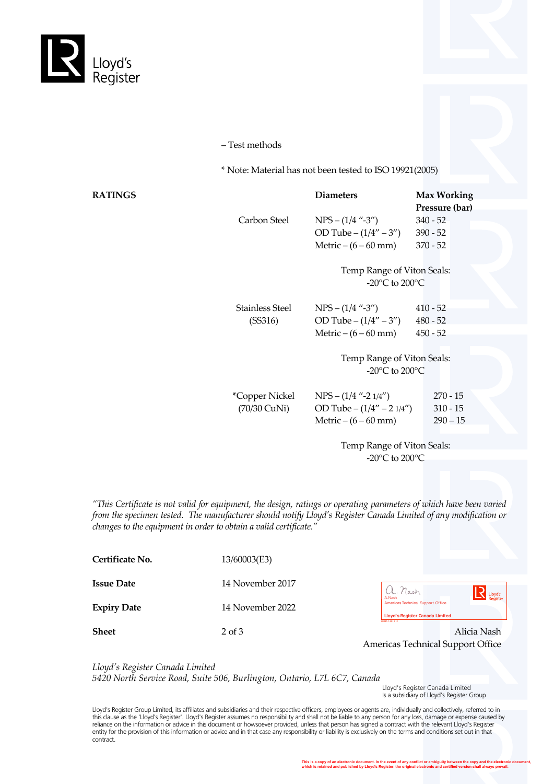

– Test methods

\* Note: Material has not been tested to ISO 19921(2005)

| <b>RATINGS</b> |                       | <b>Diameters</b>                                     | <b>Max Working</b> |
|----------------|-----------------------|------------------------------------------------------|--------------------|
|                |                       |                                                      | Pressure (bar)     |
|                | Carbon Steel          | $NPS - (1/4$ "-3")                                   | $340 - 52$         |
|                |                       | OD Tube $-(1/4'' - 3'')$                             | $390 - 52$         |
|                |                       | Metric $-(6-60$ mm)                                  | $370 - 52$         |
|                |                       | Temp Range of Viton Seals:                           |                    |
|                |                       | -20 $\rm{^{\circ}C}$ to 200 $\rm{^{\circ}C}$         |                    |
|                | Stainless Steel       | $NPS - (1/4$ "-3")                                   | $410 - 52$         |
|                | (SS316)               | OD Tube $-(1/4'' - 3'')$                             | $480 - 52$         |
|                |                       | Metric $-(6 - 60$ mm)                                | $450 - 52$         |
|                |                       |                                                      |                    |
|                |                       | Temp Range of Viton Seals:                           |                    |
|                |                       | -20 $\mathrm{^{\circ}C}$ to 200 $\mathrm{^{\circ}C}$ |                    |
|                | <i>*Copper Nickel</i> | $NPS - (1/4$ "-2 $1/4$ ")                            | $270 - 15$         |
|                | (70/30 CuNi)          | OD Tube $- (1/4'' - 2 1/4'')$                        | $310 - 15$         |
|                |                       | Metric $- (6 - 60$ mm)                               | $290 - 15$         |
|                |                       |                                                      |                    |
|                |                       | $\mathbf{T}$ D (XIII 01.                             |                    |

Temp Range of Viton Seals: -20°C to 200°C

*"This Certificate is not valid for equipment, the design, ratings or operating parameters of which have been varied from the specimen tested. The manufacturer should notify Lloyd's Register Canada Limited of any modification or changes to the equipment in order to obtain a valid certificate."*

| Certificate No.    | 13/60003(E3)     |                                                                                              |
|--------------------|------------------|----------------------------------------------------------------------------------------------|
| <b>Issue Date</b>  | 14 November 2017 | a. Nash<br>Flovas                                                                            |
| <b>Expiry Date</b> | 14 November 2022 | A.Nash<br><b>Americas Technical Support Office</b><br><b>Lloyd's Register Canada Limited</b> |
| <b>Sheet</b>       | $2$ of $3$       | LR031.1.2013.12<br>Alicia Nash                                                               |

| $\therefore$ Mash<br>A.Nash<br>Americas Technical Support Office | Lloyd's<br>Register |
|------------------------------------------------------------------|---------------------|
| Lloyd's Register Canada Limited<br>LR031.1.2013.12               |                     |

Americas Technical Support Office

*Lloyd's Register Canada Limited 5420 North Service Road, Suite 506, Burlington, Ontario, L7L 6C7, Canada*

 Lloyd's Register Canada Limited Is a subsidiary of Lloyd's Register Group

Lloyd's Register Group Limited, its affiliates and subsidiaries and their respective officers, employees or agents are, individually and collectively, referred to in this clause as the 'Lloyd's Register'. Lloyd's Register assumes no responsibility and shall not be liable to any person for any loss, damage or expense caused by<br>reliance on the information or advice in this document or ho entity for the provision of this information or advice and in that case any responsibility or liability is exclusively on the terms and conditions set out in that contract.